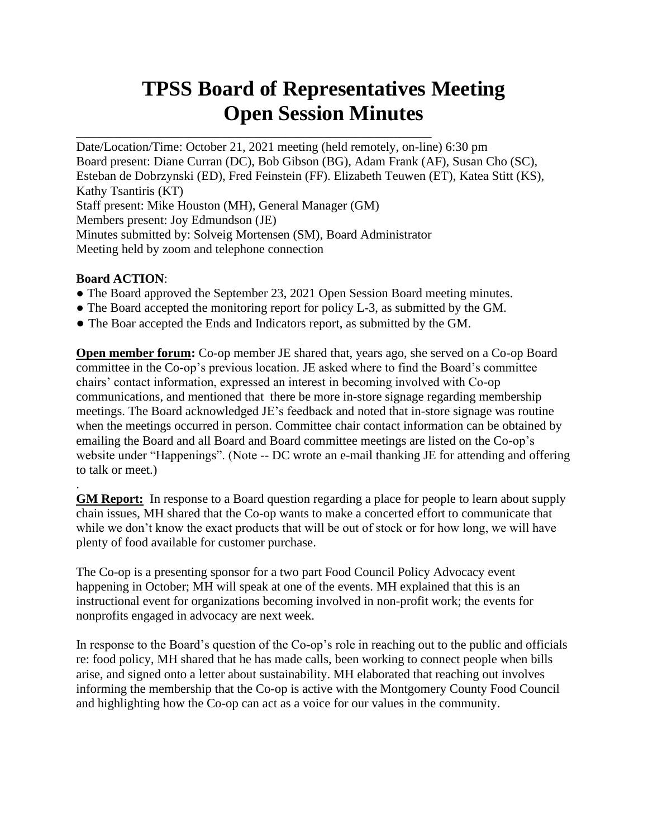# **TPSS Board of Representatives Meeting Open Session Minutes**

Date/Location/Time: October 21, 2021 meeting (held remotely, on-line) 6:30 pm Board present: Diane Curran (DC), Bob Gibson (BG), Adam Frank (AF), Susan Cho (SC), Esteban de Dobrzynski (ED), Fred Feinstein (FF). Elizabeth Teuwen (ET), Katea Stitt (KS), Kathy Tsantiris (KT) Staff present: Mike Houston (MH), General Manager (GM) Members present: Joy Edmundson (JE) Minutes submitted by: Solveig Mortensen (SM), Board Administrator Meeting held by zoom and telephone connection

# **Board ACTION**:

.

- The Board approved the September 23, 2021 Open Session Board meeting minutes.
- The Board accepted the monitoring report for policy L-3, as submitted by the GM.
- The Boar accepted the Ends and Indicators report, as submitted by the GM.

\_\_\_\_\_\_\_\_\_\_\_\_\_\_\_\_\_\_\_\_\_\_\_\_\_\_\_\_\_\_\_\_\_\_\_\_\_\_\_\_\_\_\_\_\_\_\_\_\_\_\_\_\_\_\_\_

**Open member forum:** Co-op member JE shared that, years ago, she served on a Co-op Board committee in the Co-op's previous location. JE asked where to find the Board's committee chairs' contact information, expressed an interest in becoming involved with Co-op communications, and mentioned that there be more in-store signage regarding membership meetings. The Board acknowledged JE's feedback and noted that in-store signage was routine when the meetings occurred in person. Committee chair contact information can be obtained by emailing the Board and all Board and Board committee meetings are listed on the Co-op's website under "Happenings". (Note -- DC wrote an e-mail thanking JE for attending and offering to talk or meet.)

**GM Report:** In response to a Board question regarding a place for people to learn about supply chain issues, MH shared that the Co-op wants to make a concerted effort to communicate that while we don't know the exact products that will be out of stock or for how long, we will have plenty of food available for customer purchase.

The Co-op is a presenting sponsor for a two part Food Council Policy Advocacy event happening in October; MH will speak at one of the events. MH explained that this is an instructional event for organizations becoming involved in non-profit work; the events for nonprofits engaged in advocacy are next week.

In response to the Board's question of the Co-op's role in reaching out to the public and officials re: food policy, MH shared that he has made calls, been working to connect people when bills arise, and signed onto a letter about sustainability. MH elaborated that reaching out involves informing the membership that the Co-op is active with the Montgomery County Food Council and highlighting how the Co-op can act as a voice for our values in the community.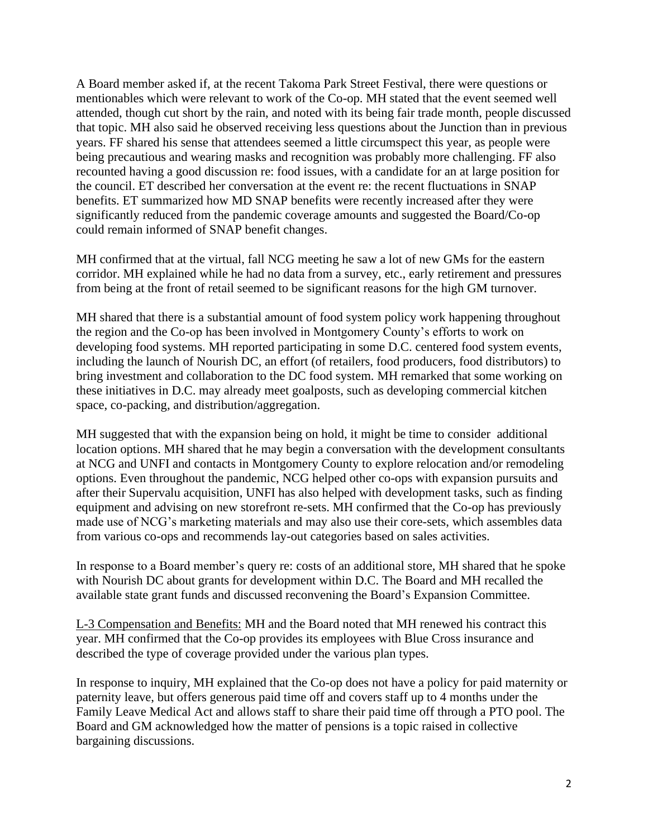A Board member asked if, at the recent Takoma Park Street Festival, there were questions or mentionables which were relevant to work of the Co-op. MH stated that the event seemed well attended, though cut short by the rain, and noted with its being fair trade month, people discussed that topic. MH also said he observed receiving less questions about the Junction than in previous years. FF shared his sense that attendees seemed a little circumspect this year, as people were being precautious and wearing masks and recognition was probably more challenging. FF also recounted having a good discussion re: food issues, with a candidate for an at large position for the council. ET described her conversation at the event re: the recent fluctuations in SNAP benefits. ET summarized how MD SNAP benefits were recently increased after they were significantly reduced from the pandemic coverage amounts and suggested the Board/Co-op could remain informed of SNAP benefit changes.

MH confirmed that at the virtual, fall NCG meeting he saw a lot of new GMs for the eastern corridor. MH explained while he had no data from a survey, etc., early retirement and pressures from being at the front of retail seemed to be significant reasons for the high GM turnover.

MH shared that there is a substantial amount of food system policy work happening throughout the region and the Co-op has been involved in Montgomery County's efforts to work on developing food systems. MH reported participating in some D.C. centered food system events, including the launch of Nourish DC, an effort (of retailers, food producers, food distributors) to bring investment and collaboration to the DC food system. MH remarked that some working on these initiatives in D.C. may already meet goalposts, such as developing commercial kitchen space, co-packing, and distribution/aggregation.

MH suggested that with the expansion being on hold, it might be time to consider additional location options. MH shared that he may begin a conversation with the development consultants at NCG and UNFI and contacts in Montgomery County to explore relocation and/or remodeling options. Even throughout the pandemic, NCG helped other co-ops with expansion pursuits and after their Supervalu acquisition, UNFI has also helped with development tasks, such as finding equipment and advising on new storefront re-sets. MH confirmed that the Co-op has previously made use of NCG's marketing materials and may also use their core-sets, which assembles data from various co-ops and recommends lay-out categories based on sales activities.

In response to a Board member's query re: costs of an additional store, MH shared that he spoke with Nourish DC about grants for development within D.C. The Board and MH recalled the available state grant funds and discussed reconvening the Board's Expansion Committee.

L-3 Compensation and Benefits: MH and the Board noted that MH renewed his contract this year. MH confirmed that the Co-op provides its employees with Blue Cross insurance and described the type of coverage provided under the various plan types.

In response to inquiry, MH explained that the Co-op does not have a policy for paid maternity or paternity leave, but offers generous paid time off and covers staff up to 4 months under the Family Leave Medical Act and allows staff to share their paid time off through a PTO pool. The Board and GM acknowledged how the matter of pensions is a topic raised in collective bargaining discussions.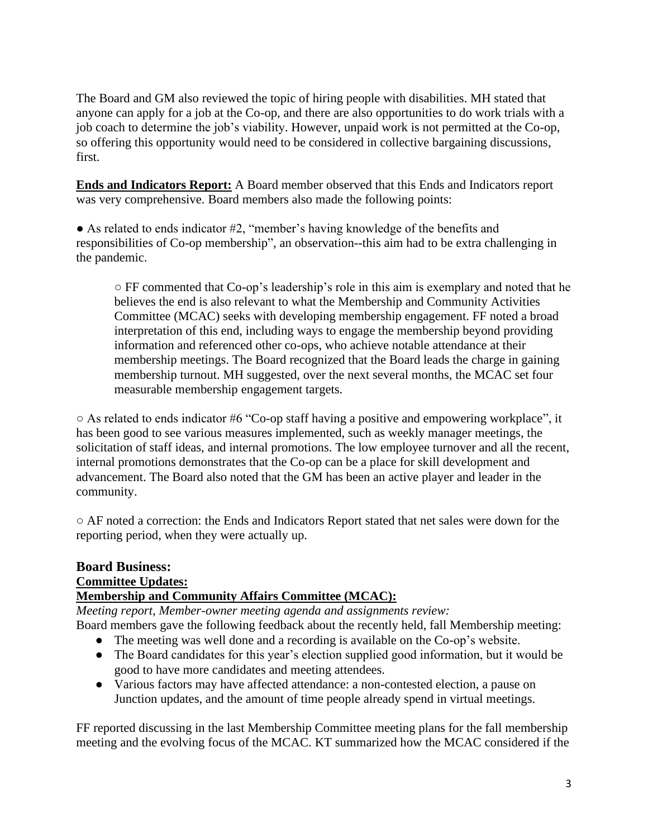The Board and GM also reviewed the topic of hiring people with disabilities. MH stated that anyone can apply for a job at the Co-op, and there are also opportunities to do work trials with a job coach to determine the job's viability. However, unpaid work is not permitted at the Co-op, so offering this opportunity would need to be considered in collective bargaining discussions, first.

**Ends and Indicators Report:** A Board member observed that this Ends and Indicators report was very comprehensive. Board members also made the following points:

● As related to ends indicator #2, "member's having knowledge of the benefits and responsibilities of Co-op membership", an observation--this aim had to be extra challenging in the pandemic.

 $\circ$  FF commented that Co-op's leadership's role in this aim is exemplary and noted that he believes the end is also relevant to what the Membership and Community Activities Committee (MCAC) seeks with developing membership engagement. FF noted a broad interpretation of this end, including ways to engage the membership beyond providing information and referenced other co-ops, who achieve notable attendance at their membership meetings. The Board recognized that the Board leads the charge in gaining membership turnout. MH suggested, over the next several months, the MCAC set four measurable membership engagement targets.

○ As related to ends indicator #6 "Co-op staff having a positive and empowering workplace", it has been good to see various measures implemented, such as weekly manager meetings, the solicitation of staff ideas, and internal promotions. The low employee turnover and all the recent, internal promotions demonstrates that the Co-op can be a place for skill development and advancement. The Board also noted that the GM has been an active player and leader in the community.

○ AF noted a correction: the Ends and Indicators Report stated that net sales were down for the reporting period, when they were actually up.

# **Board Business: Committee Updates: Membership and Community Affairs Committee (MCAC):**

*Meeting report, Member-owner meeting agenda and assignments review:* Board members gave the following feedback about the recently held, fall Membership meeting:

- The meeting was well done and a recording is available on the Co-op's website.
- The Board candidates for this year's election supplied good information, but it would be good to have more candidates and meeting attendees.
- Various factors may have affected attendance: a non-contested election, a pause on Junction updates, and the amount of time people already spend in virtual meetings.

FF reported discussing in the last Membership Committee meeting plans for the fall membership meeting and the evolving focus of the MCAC. KT summarized how the MCAC considered if the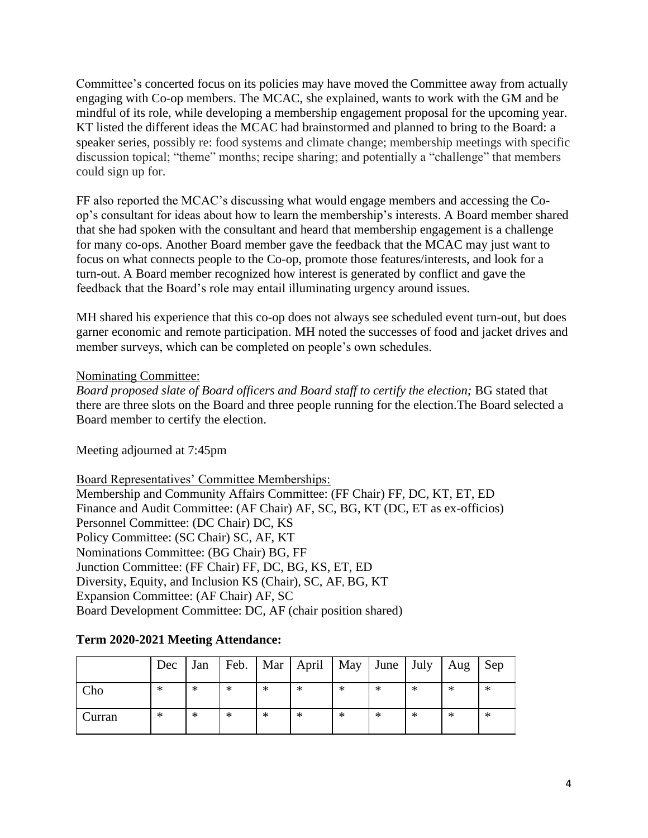Committee's concerted focus on its policies may have moved the Committee away from actually engaging with Co-op members. The MCAC, she explained, wants to work with the GM and be mindful of its role, while developing a membership engagement proposal for the upcoming year. KT listed the different ideas the MCAC had brainstormed and planned to bring to the Board: a speaker series, possibly re: food systems and climate change; membership meetings with specific discussion topical; "theme" months; recipe sharing; and potentially a "challenge" that members could sign up for.

FF also reported the MCAC's discussing what would engage members and accessing the Coop's consultant for ideas about how to learn the membership's interests. A Board member shared that she had spoken with the consultant and heard that membership engagement is a challenge for many co-ops. Another Board member gave the feedback that the MCAC may just want to focus on what connects people to the Co-op, promote those features/interests, and look for a turn-out. A Board member recognized how interest is generated by conflict and gave the feedback that the Board's role may entail illuminating urgency around issues.

MH shared his experience that this co-op does not always see scheduled event turn-out, but does garner economic and remote participation. MH noted the successes of food and jacket drives and member surveys, which can be completed on people's own schedules.

# Nominating Committee:

*Board proposed slate of Board officers and Board staff to certify the election;* BG stated that there are three slots on the Board and three people running for the election.The Board selected a Board member to certify the election.

Meeting adjourned at 7:45pm

Board Representatives' Committee Memberships: Membership and Community Affairs Committee: (FF Chair) FF, DC, KT, ET, ED Finance and Audit Committee: (AF Chair) AF, SC, BG, KT (DC, ET as ex-officios) Personnel Committee: (DC Chair) DC, KS Policy Committee: (SC Chair) SC, AF, KT Nominations Committee: (BG Chair) BG, FF Junction Committee: (FF Chair) FF, DC, BG, KS, ET, ED Diversity, Equity, and Inclusion KS (Chair), SC, AF, BG, KT Expansion Committee: (AF Chair) AF, SC Board Development Committee: DC, AF (chair position shared)

# **Term 2020-2021 Meeting Attendance:**

|        | Dec | Jan    |        |   | Feb.   Mar   April   May   June   July |   |   |        | Aug | Sep |
|--------|-----|--------|--------|---|----------------------------------------|---|---|--------|-----|-----|
| Cho    | ∗   | $\ast$ | $\ast$ | ∗ | ∗                                      | ∗ | ∗ | ∗      | ∗   | ∗   |
| Curran | ∗   | $\ast$ | $\ast$ | ∗ | ∗                                      | ∗ | ∗ | $\ast$ | ∗   | ∗   |